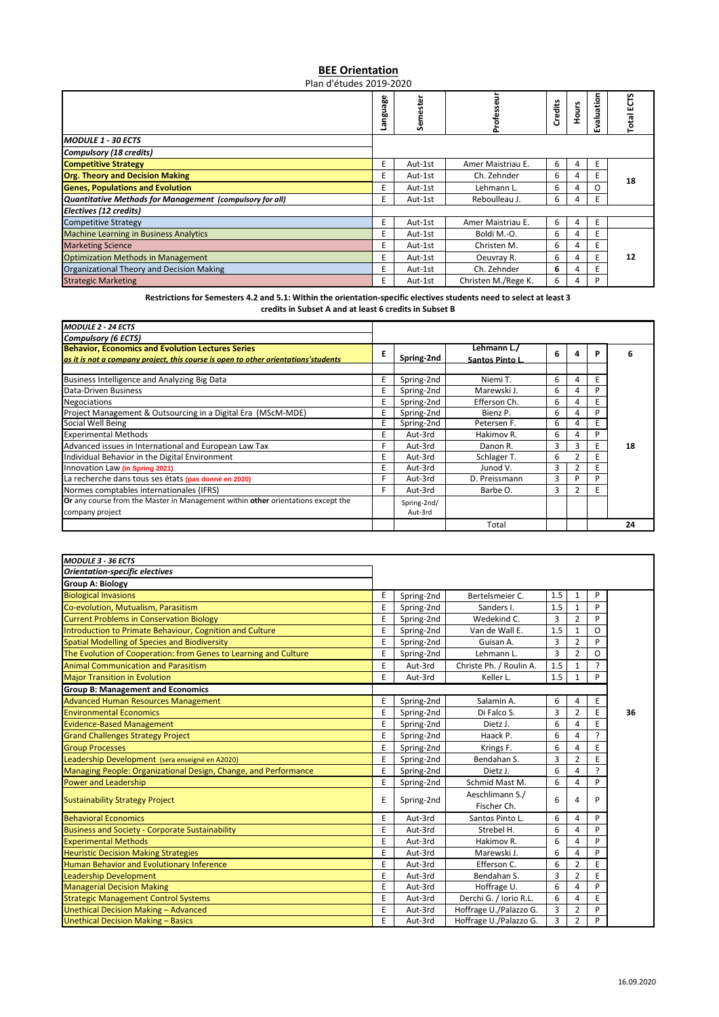## **BEE Orientation**

Plan d'études 2019-2020

|                                                          | 8<br>ಗ<br>뽇<br>ᠭᠣ | Semeste | Profe:              | Credits | Hours | valuation | ĒΩ<br>Total |
|----------------------------------------------------------|-------------------|---------|---------------------|---------|-------|-----------|-------------|
| MODULE 1 - 30 ECTS                                       |                   |         |                     |         |       | ŴЛ        |             |
| <b>Compulsory (18 credits)</b>                           |                   |         |                     |         |       |           |             |
| <b>Competitive Strategy</b>                              | E                 | Aut-1st | Amer Maistriau E.   | 6       |       | E         |             |
| <b>Org. Theory and Decision Making</b>                   | E                 | Aut-1st | Ch. Zehnder         | 6       | 4     | Ε         | 18          |
| <b>Genes, Populations and Evolution</b>                  | E.                | Aut-1st | Lehmann L.          | 6       | 4     | O         |             |
| Quantitative Methods for Management (compulsory for all) | E.                | Aut-1st | Reboulleau J.       | 6       | 4     | E.        |             |
| Electives (12 credits)                                   |                   |         |                     |         |       |           |             |
| <b>Competitive Strategy</b>                              | E                 | Aut-1st | Amer Maistriau E.   | 6       | 4     | E         |             |
| <b>Machine Learning in Business Analytics</b>            | E                 | Aut-1st | Boldi M.-O.         | 6       | 4     | E         |             |
| <b>Marketing Science</b>                                 | E                 | Aut-1st | Christen M.         | 6       | 4     | E         |             |
| <b>Optimization Methods in Management</b>                | E                 | Aut-1st | Oeuvray R.          | 6       | 4     | E         | 12          |
| Organizational Theory and Decision Making                | E                 | Aut-1st | Ch. Zehnder         | 6       | 4     | E         |             |
| <b>Strategic Marketing</b>                               | E.                | Aut-1st | Christen M./Rege K. | 6       | 4     | P         |             |

## **Restrictions for Semesters 4.2 and 5.1: Within the orientation-specific electives students need to select at least 3 credits in Subset A and at least 6 credits in Subset B**

| <b>MODULE 2 - 24 ECTS</b>                                                                                                                       |   |                        |                                |   |   |   |    |
|-------------------------------------------------------------------------------------------------------------------------------------------------|---|------------------------|--------------------------------|---|---|---|----|
| <b>Compulsory (6 ECTS)</b>                                                                                                                      |   |                        |                                |   |   |   |    |
| <b>Behavior, Economics and Evolution Lectures Series</b><br>as it is not a company project, this course is open to other orientations' students | E | Spring-2nd             | Lehmann L./<br>Santos Pinto L. | 6 |   | P |    |
| Business Intelligence and Analyzing Big Data                                                                                                    | E | Spring-2nd             | Niemi T.                       | 6 | 4 |   |    |
| Data-Driven Business                                                                                                                            |   | Spring-2nd             | Marewski J.                    | 6 | 4 | D |    |
| <b>Negociations</b>                                                                                                                             |   | Spring-2nd             | Efferson Ch.                   | 6 | Λ |   |    |
| Project Management & Outsourcing in a Digital Era (MScM-MDE)                                                                                    |   | Spring-2nd             | Bienz P.                       | 6 |   | D |    |
| Social Well Being                                                                                                                               | F | Spring-2nd             | Petersen F.                    | 6 | 4 |   |    |
| <b>Experimental Methods</b>                                                                                                                     | F | Aut-3rd                | Hakimov R.                     | 6 |   | D |    |
| Advanced issues in International and European Law Tax                                                                                           |   | Aut-3rd                | Danon R.                       | 3 | 3 |   | 18 |
| Individual Behavior in the Digital Environment                                                                                                  | E | Aut-3rd                | Schlager T.                    | 6 |   |   |    |
| Innovation Law (in Spring 2021)                                                                                                                 | E | Aut-3rd                | Junod V.                       | 3 |   |   |    |
| La recherche dans tous ses états (pas donné en 2020)                                                                                            |   | Aut-3rd                | D. Preissmann                  | 3 | D | D |    |
| Normes comptables internationales (IFRS)                                                                                                        | F | Aut-3rd                | Barbe O.                       | 3 | 2 | F |    |
| Or any course from the Master in Management within other orientations except the<br>company project                                             |   | Spring-2nd/<br>Aut-3rd |                                |   |   |   |    |
|                                                                                                                                                 |   |                        | Total                          |   |   |   | 24 |

| MODULE 3 - 36 ECTS                                               |   |            |                                |                |                |   |    |
|------------------------------------------------------------------|---|------------|--------------------------------|----------------|----------------|---|----|
| <b>Orientation-specific electives</b>                            |   |            |                                |                |                |   |    |
| <b>Group A: Biology</b>                                          |   |            |                                |                |                |   |    |
| <b>Biological Invasions</b>                                      | E | Spring-2nd | Bertelsmeier C.                | 1.5            | $\mathbf{1}$   | P |    |
| Co-evolution, Mutualism, Parasitism                              | E | Spring-2nd | Sanders I.                     | 1.5            | $\mathbf{1}$   | P |    |
| <b>Current Problems in Conservation Biology</b>                  | E | Spring-2nd | Wedekind C.                    | 3              | $\overline{2}$ | P |    |
| Introduction to Primate Behaviour, Cognition and Culture         | E | Spring-2nd | Van de Wall E.                 | 1.5            | $\mathbf{1}$   | O |    |
| <b>Spatial Modelling of Species and Biodiversity</b>             | E | Spring-2nd | Guisan A.                      | 3              | $\overline{2}$ | P |    |
| The Evolution of Cooperation: from Genes to Learning and Culture | E | Spring-2nd | Lehmann L.                     | $\overline{3}$ | $\overline{2}$ | O |    |
| <b>Animal Communication and Parasitism</b>                       | E | Aut-3rd    | Christe Ph. / Roulin A.        | 1.5            | $\mathbf{1}$   | ς |    |
| <b>Major Transition in Evolution</b>                             | E | Aut-3rd    | Keller L.                      | 1.5            | 1              | P |    |
| <b>Group B: Management and Economics</b>                         |   |            |                                |                |                |   |    |
| <b>Advanced Human Resources Management</b>                       | E | Spring-2nd | Salamin A.                     | 6              | 4              | Ε |    |
| <b>Environmental Economics</b>                                   | E | Spring-2nd | Di Falco S.                    | 3              | $\overline{2}$ | E | 36 |
| <b>Evidence-Based Management</b>                                 | E | Spring-2nd | Dietz J.                       | 6              | 4              | F |    |
| <b>Grand Challenges Strategy Project</b>                         | E | Spring-2nd | Haack P.                       | 6              | $\overline{a}$ | ς |    |
| <b>Group Processes</b>                                           | E | Spring-2nd | Krings F.                      | 6              | $\overline{4}$ | E |    |
| Leadership Development (sera enseigné en A2020)                  | E | Spring-2nd | Bendahan S.                    | $\overline{3}$ | $\overline{2}$ | F |    |
| Managing People: Organizational Design, Change, and Performance  | E | Spring-2nd | Dietz J.                       | 6              | 4              | ς |    |
| Power and Leadership                                             | E | Spring-2nd | Schmid Mast M.                 | 6              | 4              | P |    |
| <b>Sustainability Strategy Project</b>                           | E | Spring-2nd | Aeschlimann S./<br>Fischer Ch. | 6              | 4              | P |    |
| <b>Behavioral Economics</b>                                      | E | Aut-3rd    | Santos Pinto L.                | 6              | 4              | P |    |
| <b>Business and Society - Corporate Sustainability</b>           | E | Aut-3rd    | Strebel H.                     | 6              | 4              | P |    |
| <b>Experimental Methods</b>                                      | E | Aut-3rd    | Hakimov R.                     | 6              | $\overline{a}$ | P |    |
| <b>Heuristic Decision Making Strategies</b>                      | E | Aut-3rd    | Marewski J.                    | 6              | $\overline{a}$ | P |    |
| Human Behavior and Evolutionary Inference                        | E | Aut-3rd    | Efferson C.                    | 6              | $\overline{2}$ | E |    |
| <b>Leadership Development</b>                                    | E | Aut-3rd    | Bendahan S.                    | 3              | $\overline{2}$ | E |    |
| <b>Managerial Decision Making</b>                                | E | Aut-3rd    | Hoffrage U.                    | 6              | 4              | P |    |
| <b>Strategic Management Control Systems</b>                      | E | Aut-3rd    | Derchi G. / Iorio R.L.         | 6              | 4              | E |    |
| <b>Unethical Decision Making - Advanced</b>                      | E | Aut-3rd    | Hoffrage U./Palazzo G.         | 3              | $\overline{2}$ | P |    |
| <b>Unethical Decision Making - Basics</b>                        | E | Aut-3rd    | Hoffrage U./Palazzo G.         | $\overline{3}$ | $\overline{2}$ | P |    |